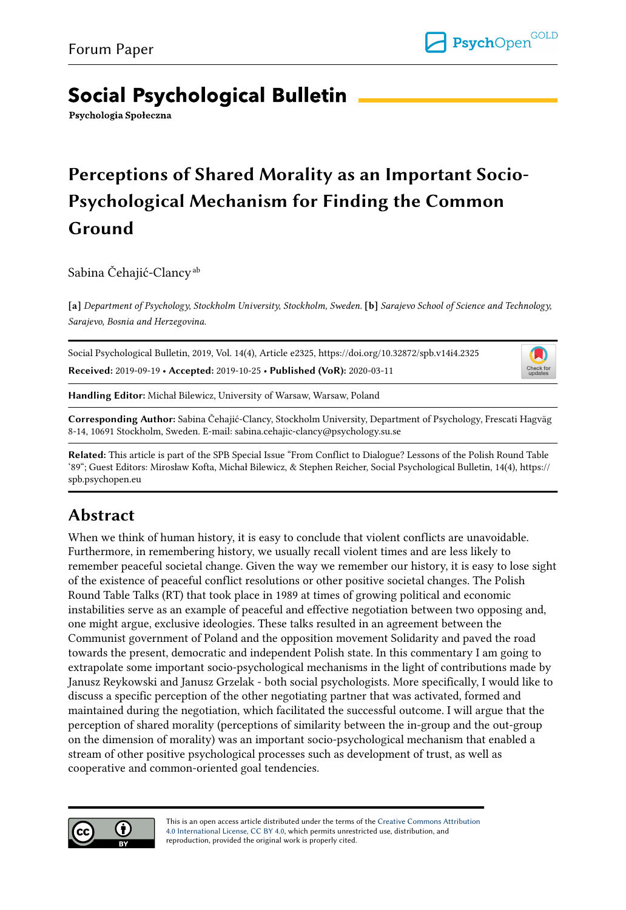# **Social Psychological Bulletin**

Psychologia Społeczna

# Perceptions of Shared Morality as an Important Socio-Psychological Mechanism for Finding the Common Ground

Sabina Čehajić-Clancy<sup>ab</sup>

[a] Department of Psychology, Stockholm University, Stockholm, Sweden. [b] Sarajevo School of Science and Technology, Sarajevo, Bosnia and Herzegovina.

Social Psychological Bulletin, 2019, Vol. 14(4), Article e2325, https://doi.org/10.32872/spb.v14i4.2325 Received: 2019-09-19 • Accepted: 2019-10-25 • Published (VoR): 2020-03-11

IJ Check for<br>updates

Handling Editor: Michał Bilewicz, University of Warsaw, Warsaw, Poland

Corresponding Author: Sabina Čehajić-Clancy, Stockholm University, Department of Psychology, Frescati Hagväg 8-14, 10691 Stockholm, Sweden. E-mail: sabina.cehajic-clancy@psychology.su.se

Related: This article is part of the SPB Special Issue "From Conflict to Dialogue? Lessons of the Polish Round Table '89"; Guest Editors: Mirosław Kofta, Michał Bilewicz, & Stephen Reicher, Social Psychological Bulletin, 14(4), https:// spb.psychopen.eu

### Abstract

When we think of human history, it is easy to conclude that violent conflicts are unavoidable. Furthermore, in remembering history, we usually recall violent times and are less likely to remember peaceful societal change. Given the way we remember our history, it is easy to lose sight of the existence of peaceful conflict resolutions or other positive societal changes. The Polish Round Table Talks (RT) that took place in 1989 at times of growing political and economic instabilities serve as an example of peaceful and effective negotiation between two opposing and, one might argue, exclusive ideologies. These talks resulted in an agreement between the Communist government of Poland and the opposition movement Solidarity and paved the road towards the present, democratic and independent Polish state. In this commentary I am going to extrapolate some important socio-psychological mechanisms in the light of contributions made by Janusz Reykowski and Janusz Grzelak - both social psychologists. More specifically, I would like to discuss a specific perception of the other negotiating partner that was activated, formed and maintained during the negotiation, which facilitated the successful outcome. I will argue that the perception of shared morality (perceptions of similarity between the in-group and the out-group on the dimension of morality) was an important socio-psychological mechanism that enabled a stream of other positive psychological processes such as development of trust, as well as cooperative and common-oriented goal tendencies.



This is an open access article distributed under the terms of the [Creative Commons Attribution](https://creativecommons.org/licenses/by/4.0/) [4.0 International License, CC BY 4.0,](https://creativecommons.org/licenses/by/4.0/) which permits unrestricted use, distribution, and reproduction, provided the original work is properly cited.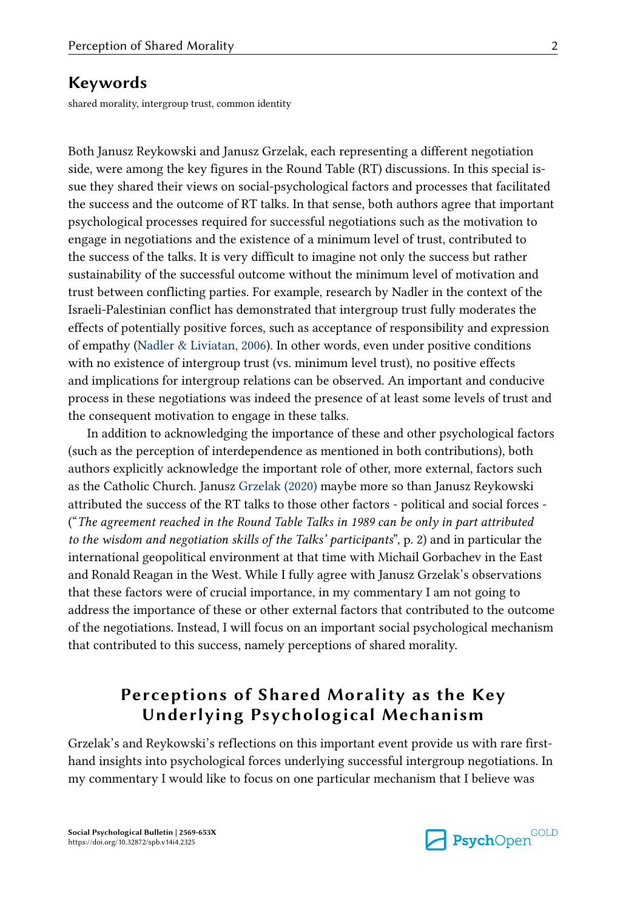#### Keywords

shared morality, intergroup trust, common identity

Both Janusz Reykowski and Janusz Grzelak, each representing a different negotiation side, were among the key figures in the Round Table (RT) discussions. In this special is‐ sue they shared their views on social-psychological factors and processes that facilitated the success and the outcome of RT talks. In that sense, both authors agree that important psychological processes required for successful negotiations such as the motivation to engage in negotiations and the existence of a minimum level of trust, contributed to the success of the talks. It is very difficult to imagine not only the success but rather sustainability of the successful outcome without the minimum level of motivation and trust between conflicting parties. For example, research by Nadler in the context of the Israeli-Palestinian conflict has demonstrated that intergroup trust fully moderates the effects of potentially positive forces, such as acceptance of responsibility and expression of empathy ([Nadler & Liviatan, 2006](#page-6-0)). In other words, even under positive conditions with no existence of intergroup trust (vs. minimum level trust), no positive effects and implications for intergroup relations can be observed. An important and conducive process in these negotiations was indeed the presence of at least some levels of trust and the consequent motivation to engage in these talks.

In addition to acknowledging the importance of these and other psychological factors (such as the perception of interdependence as mentioned in both contributions), both authors explicitly acknowledge the important role of other, more external, factors such as the Catholic Church. Janusz [Grzelak \(2020\)](#page-5-0) maybe more so than Janusz Reykowski attributed the success of the RT talks to those other factors - political and social forces - ("The agreement reached in the Round Table Talks in 1989 can be only in part attributed to the wisdom and negotiation skills of the Talks' participants", p. 2) and in particular the international geopolitical environment at that time with Michail Gorbachev in the East and Ronald Reagan in the West. While I fully agree with Janusz Grzelak's observations that these factors were of crucial importance, in my commentary I am not going to address the importance of these or other external factors that contributed to the outcome of the negotiations. Instead, I will focus on an important social psychological mechanism that contributed to this success, namely perceptions of shared morality.

### Perceptions of Shared Morality as the Key Underlying Psychological Mechanism

Grzelak's and Reykowski's reflections on this important event provide us with rare firsthand insights into psychological forces underlying successful intergroup negotiations. In my commentary I would like to focus on one particular mechanism that I believe was

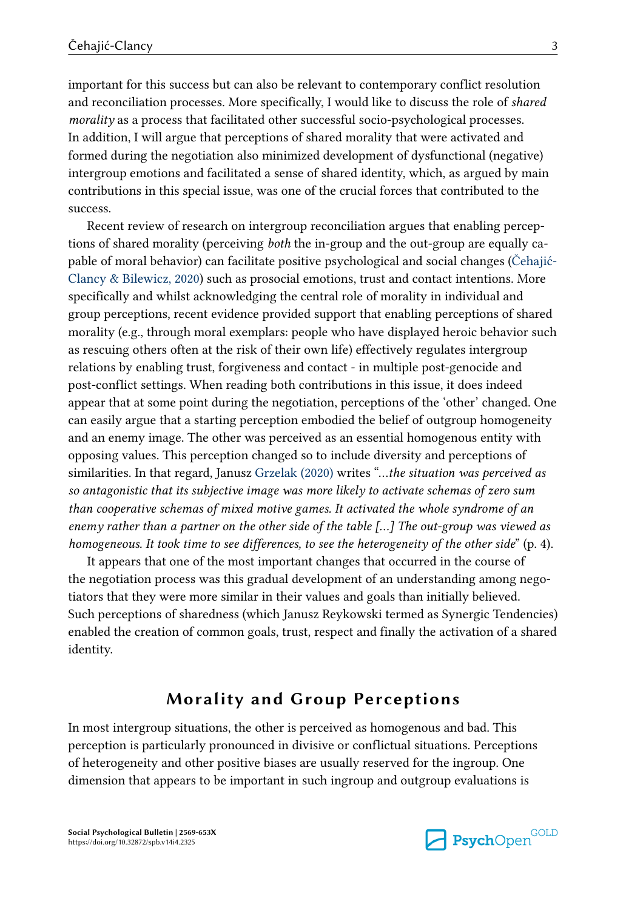important for this success but can also be relevant to contemporary conflict resolution and reconciliation processes. More specifically, I would like to discuss the role of shared morality as a process that facilitated other successful socio-psychological processes. In addition, I will argue that perceptions of shared morality that were activated and formed during the negotiation also minimized development of dysfunctional (negative) intergroup emotions and facilitated a sense of shared identity, which, as argued by main contributions in this special issue, was one of the crucial forces that contributed to the success.

Recent review of research on intergroup reconciliation argues that enabling percep‐ tions of shared morality (perceiving *both* the in-group and the out-group are equally capable of moral behavior) can facilitate positive psychological and social changes ([Čehajić-](#page-5-0)[Clancy & Bilewicz, 2020](#page-5-0)) such as prosocial emotions, trust and contact intentions. More specifically and whilst acknowledging the central role of morality in individual and group perceptions, recent evidence provided support that enabling perceptions of shared morality (e.g., through moral exemplars: people who have displayed heroic behavior such as rescuing others often at the risk of their own life) effectively regulates intergroup relations by enabling trust, forgiveness and contact - in multiple post-genocide and post-conflict settings. When reading both contributions in this issue, it does indeed appear that at some point during the negotiation, perceptions of the 'other' changed. One can easily argue that a starting perception embodied the belief of outgroup homogeneity and an enemy image. The other was perceived as an essential homogenous entity with opposing values. This perception changed so to include diversity and perceptions of similarities. In that regard, Janusz [Grzelak \(2020\)](#page-5-0) writes "…the situation was perceived as so antagonistic that its subjective image was more likely to activate schemas of zero sum than cooperative schemas of mixed motive games. It activated the whole syndrome of an enemy rather than a partner on the other side of the table […] The out-group was viewed as homogeneous. It took time to see differences, to see the heterogeneity of the other side" (p. 4).

It appears that one of the most important changes that occurred in the course of the negotiation process was this gradual development of an understanding among negotiators that they were more similar in their values and goals than initially believed. Such perceptions of sharedness (which Janusz Reykowski termed as Synergic Tendencies) enabled the creation of common goals, trust, respect and finally the activation of a shared identity.

#### Morality and Group Perceptions

In most intergroup situations, the other is perceived as homogenous and bad. This perception is particularly pronounced in divisive or conflictual situations. Perceptions of heterogeneity and other positive biases are usually reserved for the ingroup. One dimension that appears to be important in such ingroup and outgroup evaluations is

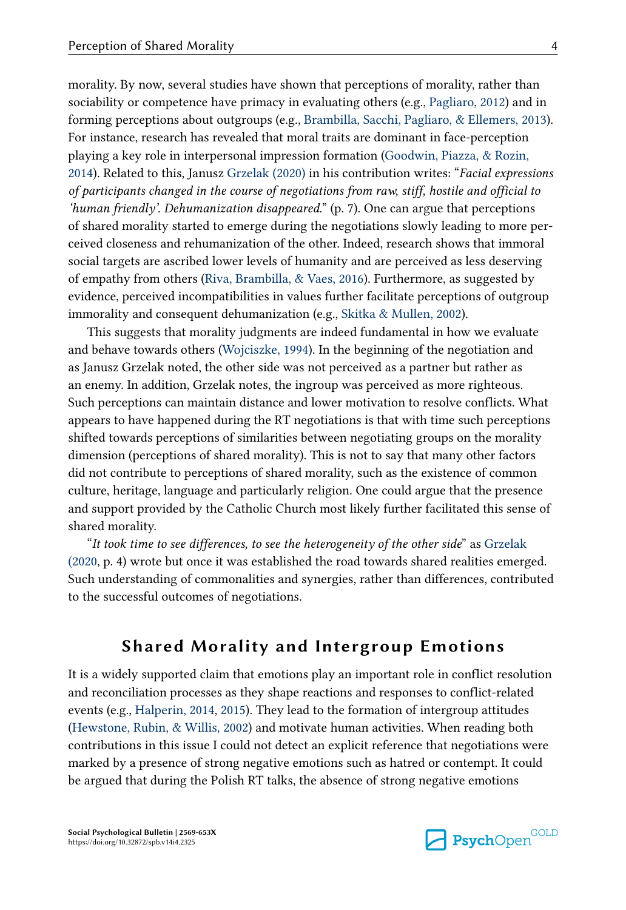For instance, research has revealed that moral traits are dominant in face-perception playing a key role in interpersonal impression formation ([Goodwin, Piazza, & Rozin,](#page-5-0) [2014\)](#page-5-0). Related to this, Janusz [Grzelak \(2020\)](#page-5-0) in his contribution writes: "Facial expressions of participants changed in the course of negotiations from raw, stiff, hostile and official to 'human friendly'. Dehumanization disappeared."  $(p. 7)$ . One can argue that perceptions of shared morality started to emerge during the negotiations slowly leading to more per‐ ceived closeness and rehumanization of the other. Indeed, research shows that immoral social targets are ascribed lower levels of humanity and are perceived as less deserving of empathy from others [\(Riva, Brambilla, & Vaes, 2016\)](#page-6-0). Furthermore, as suggested by evidence, perceived incompatibilities in values further facilitate perceptions of outgroup immorality and consequent dehumanization (e.g., [Skitka & Mullen, 2002](#page-6-0)).

This suggests that morality judgments are indeed fundamental in how we evaluate and behave towards others [\(Wojciszke, 1994\)](#page-6-0). In the beginning of the negotiation and as Janusz Grzelak noted, the other side was not perceived as a partner but rather as an enemy. In addition, Grzelak notes, the ingroup was perceived as more righteous. Such perceptions can maintain distance and lower motivation to resolve conflicts. What appears to have happened during the RT negotiations is that with time such perceptions shifted towards perceptions of similarities between negotiating groups on the morality dimension (perceptions of shared morality). This is not to say that many other factors did not contribute to perceptions of shared morality, such as the existence of common culture, heritage, language and particularly religion. One could argue that the presence and support provided by the Catholic Church most likely further facilitated this sense of shared morality.

"It took time to see differences, to see the heterogeneity of the other side" as [Grzelak](#page-5-0) [\(2020,](#page-5-0) p. 4) wrote but once it was established the road towards shared realities emerged. Such understanding of commonalities and synergies, rather than differences, contributed to the successful outcomes of negotiations.

#### Shared Morality and Intergroup Emotions

It is a widely supported claim that emotions play an important role in conflict resolution and reconciliation processes as they shape reactions and responses to conflict-related events (e.g., [Halperin, 2014](#page-6-0), [2015\)](#page-6-0). They lead to the formation of intergroup attitudes ([Hewstone, Rubin, & Willis, 2002\)](#page-6-0) and motivate human activities. When reading both contributions in this issue I could not detect an explicit reference that negotiations were marked by a presence of strong negative emotions such as hatred or contempt. It could be argued that during the Polish RT talks, the absence of strong negative emotions

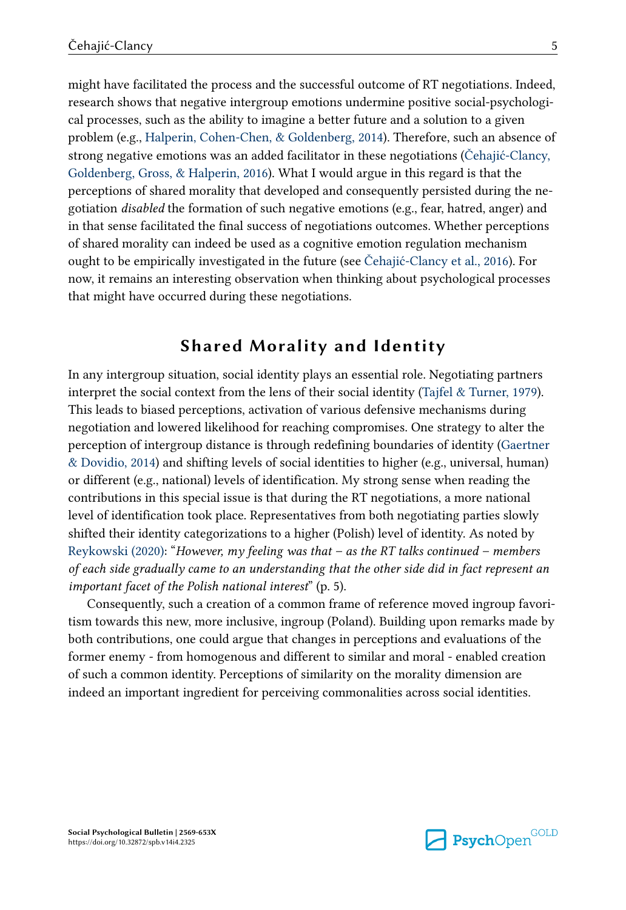might have facilitated the process and the successful outcome of RT negotiations. Indeed, research shows that negative intergroup emotions undermine positive social-psychological processes, such as the ability to imagine a better future and a solution to a given problem (e.g., [Halperin, Cohen-Chen, & Goldenberg, 2014](#page-6-0)). Therefore, such an absence of strong negative emotions was an added facilitator in these negotiations [\(Čehajić-Clancy,](#page-5-0) [Goldenberg, Gross, & Halperin, 2016](#page-5-0)). What I would argue in this regard is that the perceptions of shared morality that developed and consequently persisted during the ne‐ gotiation disabled the formation of such negative emotions (e.g., fear, hatred, anger) and in that sense facilitated the final success of negotiations outcomes. Whether perceptions of shared morality can indeed be used as a cognitive emotion regulation mechanism ought to be empirically investigated in the future (see [Čehajić-Clancy et al., 2016](#page-5-0)). For now, it remains an interesting observation when thinking about psychological processes that might have occurred during these negotiations.

#### Shared Morality and Identity

In any intergroup situation, social identity plays an essential role. Negotiating partners interpret the social context from the lens of their social identity ([Tajfel & Turner, 1979\)](#page-6-0). This leads to biased perceptions, activation of various defensive mechanisms during negotiation and lowered likelihood for reaching compromises. One strategy to alter the perception of intergroup distance is through redefining boundaries of identity ([Gaertner](#page-5-0) [& Dovidio, 2014](#page-5-0)) and shifting levels of social identities to higher (e.g., universal, human) or different (e.g., national) levels of identification. My strong sense when reading the contributions in this special issue is that during the RT negotiations, a more national level of identification took place. Representatives from both negotiating parties slowly shifted their identity categorizations to a higher (Polish) level of identity. As noted by [Reykowski \(2020\):](#page-6-0) "However, my feeling was that  $-$  as the RT talks continued  $-$  members of each side gradually came to an understanding that the other side did in fact represent an important facet of the Polish national interest" (p. 5).

Consequently, such a creation of a common frame of reference moved ingroup favori‐ tism towards this new, more inclusive, ingroup (Poland). Building upon remarks made by both contributions, one could argue that changes in perceptions and evaluations of the former enemy - from homogenous and different to similar and moral - enabled creation of such a common identity. Perceptions of similarity on the morality dimension are indeed an important ingredient for perceiving commonalities across social identities.

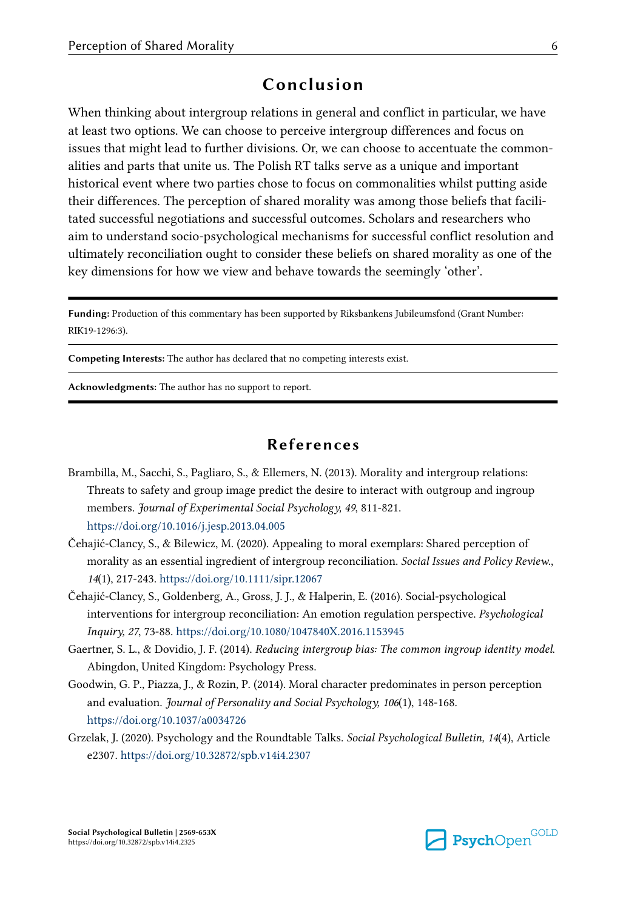#### Conclusion

<span id="page-5-0"></span>When thinking about intergroup relations in general and conflict in particular, we have at least two options. We can choose to perceive intergroup differences and focus on issues that might lead to further divisions. Or, we can choose to accentuate the commonalities and parts that unite us. The Polish RT talks serve as a unique and important historical event where two parties chose to focus on commonalities whilst putting aside their differences. The perception of shared morality was among those beliefs that facili‐ tated successful negotiations and successful outcomes. Scholars and researchers who aim to understand socio-psychological mechanisms for successful conflict resolution and ultimately reconciliation ought to consider these beliefs on shared morality as one of the key dimensions for how we view and behave towards the seemingly 'other'.

Funding: Production of this commentary has been supported by Riksbankens Jubileumsfond (Grant Number: RIK19-1296:3).

Competing Interests: The author has declared that no competing interests exist.

Acknowledgments: The author has no support to report.

#### References

- Brambilla, M., Sacchi, S., Pagliaro, S., & Ellemers, N. (2013). Morality and intergroup relations: Threats to safety and group image predict the desire to interact with outgroup and ingroup members. Journal of Experimental Social Psychology, 49, 811-821. <https://doi.org/10.1016/j.jesp.2013.04.005>
- Čehajić-Clancy, S., & Bilewicz, M. (2020). Appealing to moral exemplars: Shared perception of morality as an essential ingredient of intergroup reconciliation. Social Issues and Policy Review., 14(1), 217-243.<https://doi.org/10.1111/sipr.12067>
- Čehajić-Clancy, S., Goldenberg, A., Gross, J. J., & Halperin, E. (2016). Social-psychological interventions for intergroup reconciliation: An emotion regulation perspective. Psychological Inquiry, 27, 73-88. <https://doi.org/10.1080/1047840X.2016.1153945>
- Gaertner, S. L., & Dovidio, J. F. (2014). Reducing intergroup bias: The common ingroup identity model. Abingdon, United Kingdom: Psychology Press.
- Goodwin, G. P., Piazza, J., & Rozin, P. (2014). Moral character predominates in person perception and evaluation. Journal of Personality and Social Psychology, 106(1), 148-168. <https://doi.org/10.1037/a0034726>
- Grzelak, J. (2020). Psychology and the Roundtable Talks. Social Psychological Bulletin, 14(4), Article e2307.<https://doi.org/10.32872/spb.v14i4.2307>

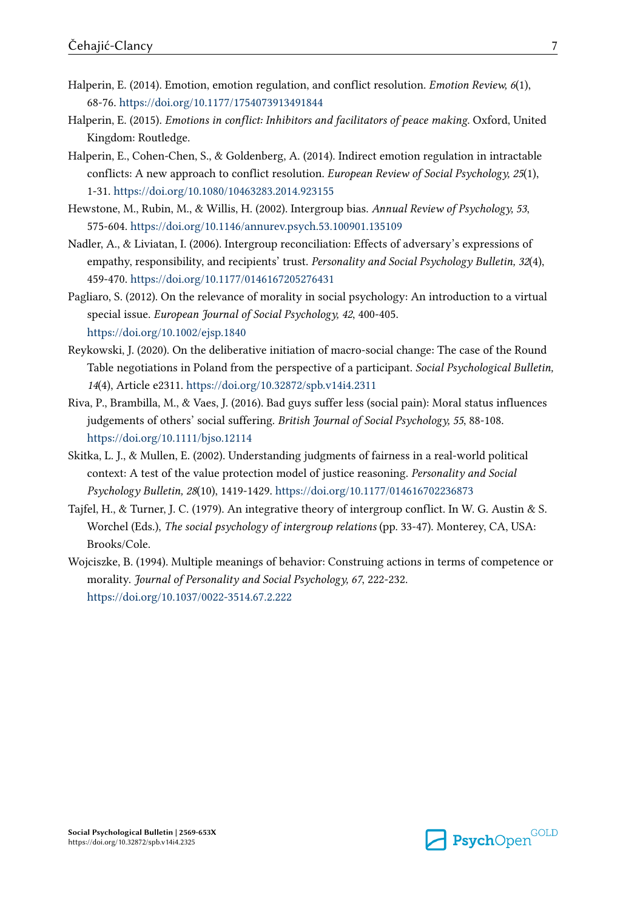- <span id="page-6-0"></span>Halperin, E. (2014). Emotion, emotion regulation, and conflict resolution. Emotion Review, 6(1), 68-76.<https://doi.org/10.1177/1754073913491844>
- Halperin, E. (2015). Emotions in conflict: Inhibitors and facilitators of peace making. Oxford, United Kingdom: Routledge.
- Halperin, E., Cohen-Chen, S., & Goldenberg, A. (2014). Indirect emotion regulation in intractable conflicts: A new approach to conflict resolution. European Review of Social Psychology, 25(1), 1-31.<https://doi.org/10.1080/10463283.2014.923155>
- Hewstone, M., Rubin, M., & Willis, H. (2002). Intergroup bias. Annual Review of Psychology, 53, 575-604. <https://doi.org/10.1146/annurev.psych.53.100901.135109>
- Nadler, A., & Liviatan, I. (2006). Intergroup reconciliation: Effects of adversary's expressions of empathy, responsibility, and recipients' trust. Personality and Social Psychology Bulletin, 32(4), 459-470. <https://doi.org/10.1177/0146167205276431>
- Pagliaro, S. (2012). On the relevance of morality in social psychology: An introduction to a virtual special issue. European Journal of Social Psychology, 42, 400-405. <https://doi.org/10.1002/ejsp.1840>
- Reykowski, J. (2020). On the deliberative initiation of macro-social change: The case of the Round Table negotiations in Poland from the perspective of a participant. Social Psychological Bulletin, 14(4), Article e2311.<https://doi.org/10.32872/spb.v14i4.2311>
- Riva, P., Brambilla, M., & Vaes, J. (2016). Bad guys suffer less (social pain): Moral status influences judgements of others' social suffering. British Journal of Social Psychology, 55, 88-108. <https://doi.org/10.1111/bjso.12114>
- Skitka, L. J., & Mullen, E. (2002). Understanding judgments of fairness in a real-world political context: A test of the value protection model of justice reasoning. Personality and Social Psychology Bulletin, 28(10), 1419-1429. <https://doi.org/10.1177/014616702236873>
- Tajfel, H., & Turner, J. C. (1979). An integrative theory of intergroup conflict. In W. G. Austin & S. Worchel (Eds.), The social psychology of intergroup relations (pp. 33-47). Monterey, CA, USA: Brooks/Cole.
- Wojciszke, B. (1994). Multiple meanings of behavior: Construing actions in terms of competence or morality. Journal of Personality and Social Psychology, 67, 222-232. <https://doi.org/10.1037/0022-3514.67.2.222>